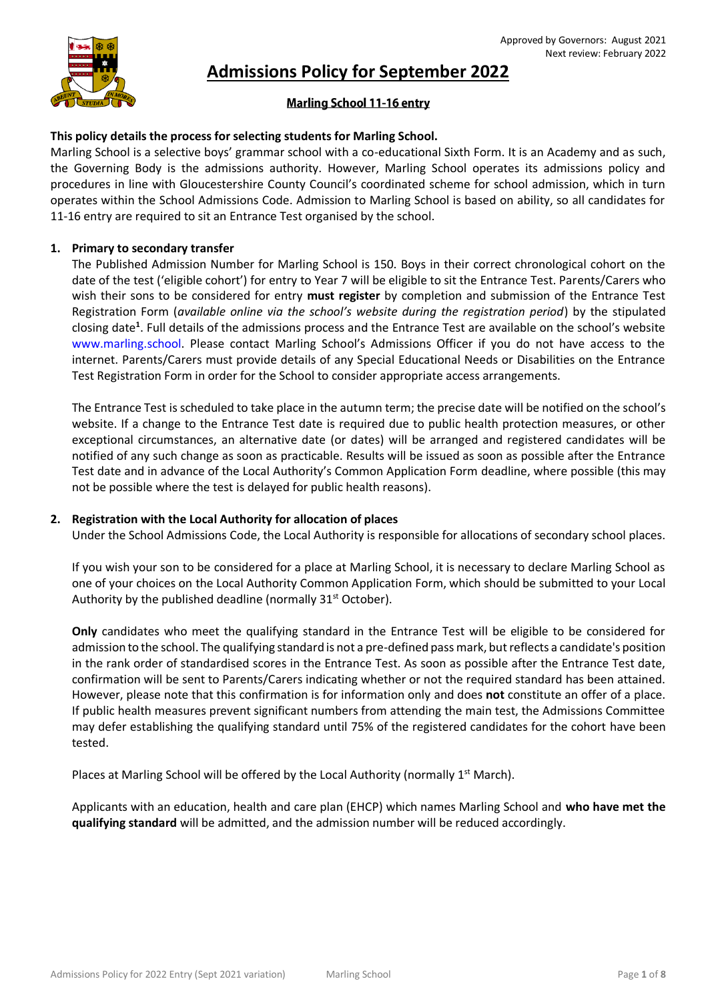

# **Admissions Policy for September 2022**

# **Marling School 11-16 entry**

## **This policy details the process for selecting students for Marling School.**

Marling School is a selective boys' grammar school with a co-educational Sixth Form. It is an Academy and as such, the Governing Body is the admissions authority. However, Marling School operates its admissions policy and procedures in line with Gloucestershire County Council's coordinated scheme for school admission, which in turn operates within the School Admissions Code. Admission to Marling School is based on ability, so all candidates for 11-16 entry are required to sit an Entrance Test organised by the school.

## **1. Primary to secondary transfer**

The Published Admission Number for Marling School is 150. Boys in their correct chronological cohort on the date of the test ('eligible cohort') for entry to Year 7 will be eligible to sit the Entrance Test. Parents/Carers who wish their sons to be considered for entry **must register** by completion and submission of the Entrance Test Registration Form (*available online via the school's website during the registration period*) by the stipulated closing date**<sup>1</sup>** . Full details of the admissions process and the Entrance Test are available on the school's website [www.marling.school](http://www.marling.school/). Please contact Marling School's Admissions Officer if you do not have access to the internet. Parents/Carers must provide details of any Special Educational Needs or Disabilities on the Entrance Test Registration Form in order for the School to consider appropriate access arrangements.

The Entrance Test is scheduled to take place in the autumn term; the precise date will be notified on the school's website. If a change to the Entrance Test date is required due to public health protection measures, or other exceptional circumstances, an alternative date (or dates) will be arranged and registered candidates will be notified of any such change as soon as practicable. Results will be issued as soon as possible after the Entrance Test date and in advance of the Local Authority's Common Application Form deadline, where possible (this may not be possible where the test is delayed for public health reasons).

## **2. Registration with the Local Authority for allocation of places**

Under the School Admissions Code, the Local Authority is responsible for allocations of secondary school places.

If you wish your son to be considered for a place at Marling School, it is necessary to declare Marling School as one of your choices on the Local Authority Common Application Form, which should be submitted to your Local Authority by the published deadline (normally  $31<sup>st</sup>$  October).

**Only** candidates who meet the qualifying standard in the Entrance Test will be eligible to be considered for admission to the school. The qualifying standard is not a pre-defined pass mark, but reflects a candidate's position in the rank order of standardised scores in the Entrance Test. As soon as possible after the Entrance Test date, confirmation will be sent to Parents/Carers indicating whether or not the required standard has been attained. However, please note that this confirmation is for information only and does **not** constitute an offer of a place. If public health measures prevent significant numbers from attending the main test, the Admissions Committee may defer establishing the qualifying standard until 75% of the registered candidates for the cohort have been tested.

Places at Marling School will be offered by the Local Authority (normally  $1<sup>st</sup>$  March).

Applicants with an education, health and care plan (EHCP) which names Marling School and **who have met the qualifying standard** will be admitted, and the admission number will be reduced accordingly.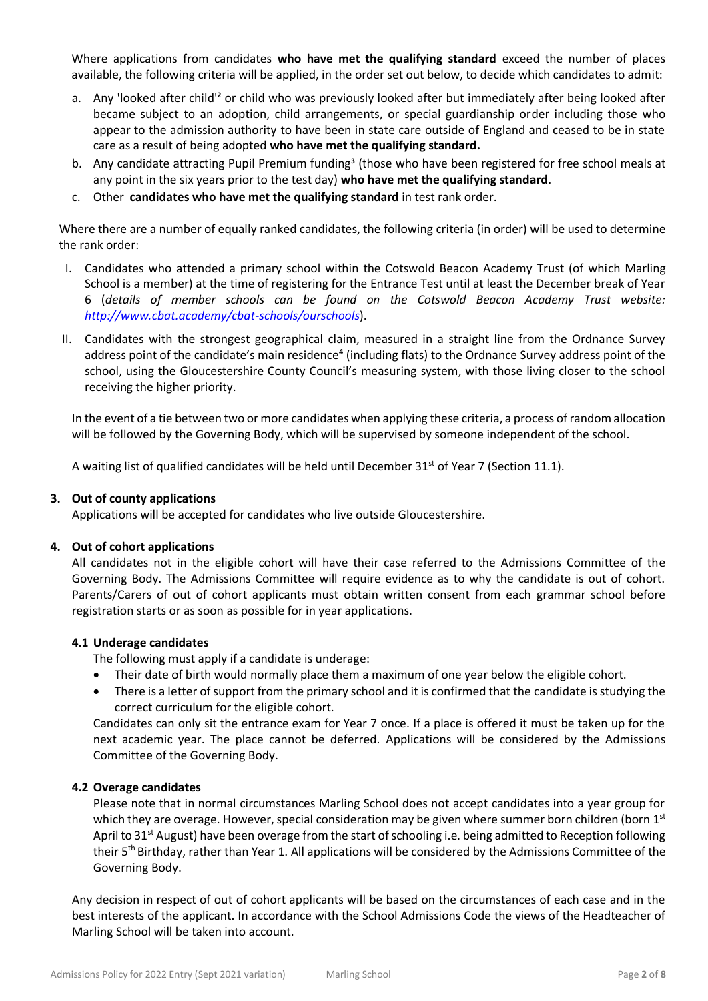Where applications from candidates **who have met the qualifying standard** exceed the number of places available, the following criteria will be applied, in the order set out below, to decide which candidates to admit:

- a. Any 'looked after child'**<sup>2</sup>** or child who was previously looked after but immediately after being looked after became subject to an adoption, child arrangements, or special guardianship order including those who appear to the admission authority to have been in state care outside of England and ceased to be in state care as a result of being adopted **who have met the qualifying standard.**
- b. Any candidate attracting Pupil Premium funding**<sup>3</sup>** (those who have been registered for free school meals at any point in the six years prior to the test day) **who have met the qualifying standard**.
- c. Other **candidates who have met the qualifying standard** in test rank order.

Where there are a number of equally ranked candidates, the following criteria (in order) will be used to determine the rank order:

- I. Candidates who attended a primary school within the Cotswold Beacon Academy Trust (of which Marling School is a member) at the time of registering for the Entrance Test until at least the December break of Year 6 (*details of member schools can be found on the Cotswold Beacon Academy Trust website: <http://www.cbat.academy/cbat-schools/ourschools>*).
- II. Candidates with the strongest geographical claim, measured in a straight line from the Ordnance Survey address point of the candidate's main residence**<sup>4</sup>** (including flats) to the Ordnance Survey address point of the school, using the Gloucestershire County Council's measuring system, with those living closer to the school receiving the higher priority.

In the event of a tie between two or more candidates when applying these criteria, a process of random allocation will be followed by the Governing Body, which will be supervised by someone independent of the school.

A waiting list of qualified candidates will be held until December 31<sup>st</sup> of Year 7 (Section 11.1).

## **3. Out of county applications**

Applications will be accepted for candidates who live outside Gloucestershire.

## **4. Out of cohort applications**

All candidates not in the eligible cohort will have their case referred to the Admissions Committee of the Governing Body. The Admissions Committee will require evidence as to why the candidate is out of cohort. Parents/Carers of out of cohort applicants must obtain written consent from each grammar school before registration starts or as soon as possible for in year applications.

## **4.1 Underage candidates**

The following must apply if a candidate is underage:

- Their date of birth would normally place them a maximum of one year below the eligible cohort.
- There is a letter of support from the primary school and it is confirmed that the candidate is studying the correct curriculum for the eligible cohort.

Candidates can only sit the entrance exam for Year 7 once. If a place is offered it must be taken up for the next academic year. The place cannot be deferred. Applications will be considered by the Admissions Committee of the Governing Body.

## **4.2 Overage candidates**

Please note that in normal circumstances Marling School does not accept candidates into a year group for which they are overage. However, special consideration may be given where summer born children (born  $1<sup>st</sup>$ April to 31<sup>st</sup> August) have been overage from the start of schooling i.e. being admitted to Reception following their 5th Birthday, rather than Year 1. All applications will be considered by the Admissions Committee of the Governing Body.

Any decision in respect of out of cohort applicants will be based on the circumstances of each case and in the best interests of the applicant. In accordance with the School Admissions Code the views of the Headteacher of Marling School will be taken into account.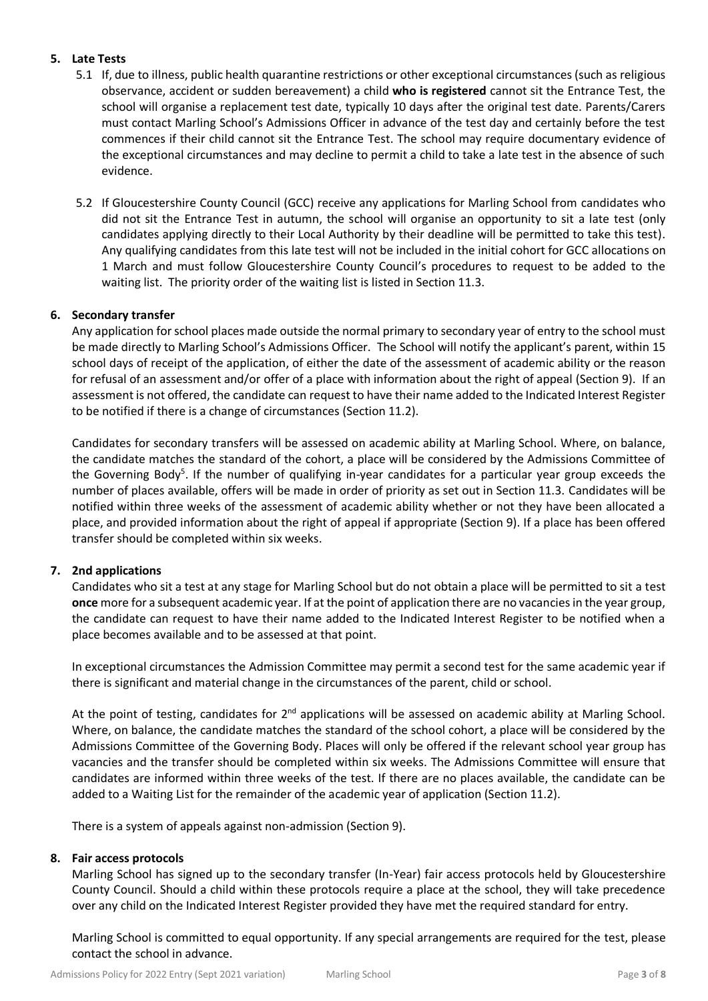# **5. Late Tests**

- 5.1 If, due to illness, public health quarantine restrictions or other exceptional circumstances (such as religious observance, accident or sudden bereavement) a child **who is registered** cannot sit the Entrance Test, the school will organise a replacement test date, typically 10 days after the original test date. Parents/Carers must contact Marling School's Admissions Officer in advance of the test day and certainly before the test commences if their child cannot sit the Entrance Test. The school may require documentary evidence of the exceptional circumstances and may decline to permit a child to take a late test in the absence of such evidence.
- 5.2 If Gloucestershire County Council (GCC) receive any applications for Marling School from candidates who did not sit the Entrance Test in autumn, the school will organise an opportunity to sit a late test (only candidates applying directly to their Local Authority by their deadline will be permitted to take this test). Any qualifying candidates from this late test will not be included in the initial cohort for GCC allocations on 1 March and must follow Gloucestershire County Council's procedures to request to be added to the waiting list. The priority order of the waiting list is listed in Section 11.3.

## **6. Secondary transfer**

Any application for school places made outside the normal primary to secondary year of entry to the school must be made directly to Marling School's Admissions Officer. The School will notify the applicant's parent, within 15 school days of receipt of the application, of either the date of the assessment of academic ability or the reason for refusal of an assessment and/or offer of a place with information about the right of appeal (Section 9). If an assessment is not offered, the candidate can request to have their name added to the Indicated Interest Register to be notified if there is a change of circumstances (Section 11.2).

Candidates for secondary transfers will be assessed on academic ability at Marling School. Where, on balance, the candidate matches the standard of the cohort, a place will be considered by the Admissions Committee of the Governing Body<sup>5</sup>. If the number of qualifying in-year candidates for a particular year group exceeds the number of places available, offers will be made in order of priority as set out in Section 11.3. Candidates will be notified within three weeks of the assessment of academic ability whether or not they have been allocated a place, and provided information about the right of appeal if appropriate (Section 9). If a place has been offered transfer should be completed within six weeks.

## **7. 2nd applications**

Candidates who sit a test at any stage for Marling School but do not obtain a place will be permitted to sit a test **once** more for a subsequent academic year. If at the point of application there are no vacancies in the year group, the candidate can request to have their name added to the Indicated Interest Register to be notified when a place becomes available and to be assessed at that point.

In exceptional circumstances the Admission Committee may permit a second test for the same academic year if there is significant and material change in the circumstances of the parent, child or school.

At the point of testing, candidates for 2<sup>nd</sup> applications will be assessed on academic ability at Marling School. Where, on balance, the candidate matches the standard of the school cohort, a place will be considered by the Admissions Committee of the Governing Body. Places will only be offered if the relevant school year group has vacancies and the transfer should be completed within six weeks. The Admissions Committee will ensure that candidates are informed within three weeks of the test. If there are no places available, the candidate can be added to a Waiting List for the remainder of the academic year of application (Section 11.2).

There is a system of appeals against non-admission (Section 9).

## **8. Fair access protocols**

Marling School has signed up to the secondary transfer (In-Year) fair access protocols held by Gloucestershire County Council. Should a child within these protocols require a place at the school, they will take precedence over any child on the Indicated Interest Register provided they have met the required standard for entry.

Marling School is committed to equal opportunity. If any special arrangements are required for the test, please contact the school in advance.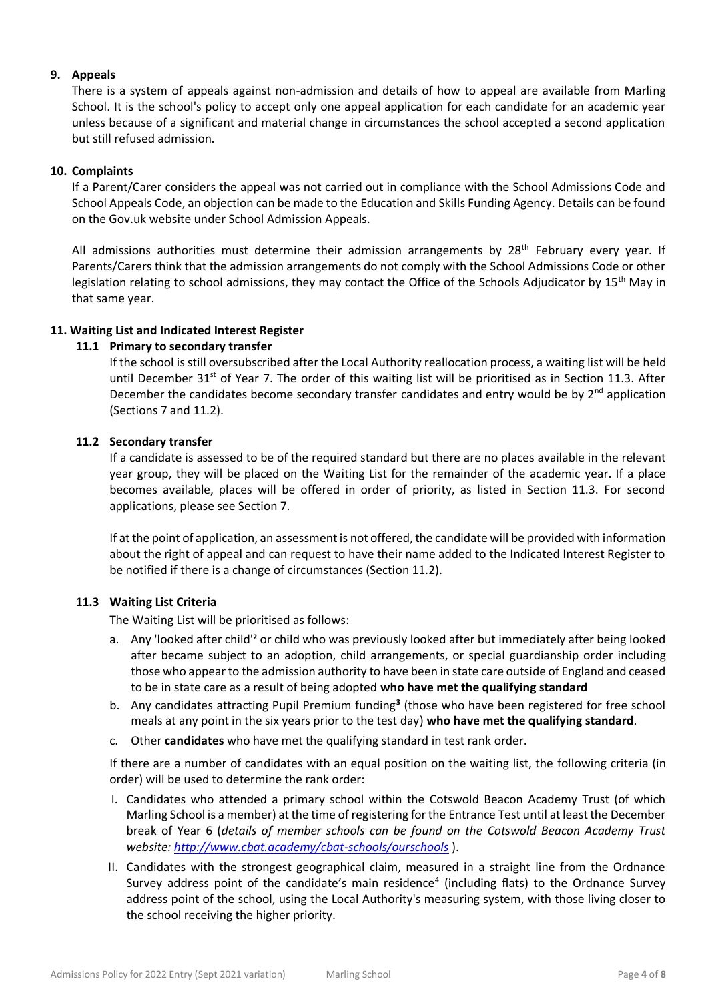## **9. Appeals**

There is a system of appeals against non-admission and details of how to appeal are available from Marling School. It is the school's policy to accept only one appeal application for each candidate for an academic year unless because of a significant and material change in circumstances the school accepted a second application but still refused admission.

## **10. Complaints**

If a Parent/Carer considers the appeal was not carried out in compliance with the School Admissions Code and School Appeals Code, an objection can be made to the Education and Skills Funding Agency. Details can be found on the Gov.uk website under School Admission Appeals.

All admissions authorities must determine their admission arrangements by 28<sup>th</sup> February every year. If Parents/Carers think that the admission arrangements do not comply with the School Admissions Code or other legislation relating to school admissions, they may contact the Office of the Schools Adjudicator by 15<sup>th</sup> May in that same year.

## **11. Waiting List and Indicated Interest Register**

## **11.1 Primary to secondary transfer**

If the school is still oversubscribed after the Local Authority reallocation process, a waiting list will be held until December 31 $<sup>st</sup>$  of Year 7. The order of this waiting list will be prioritised as in Section 11.3. After</sup> December the candidates become secondary transfer candidates and entry would be by  $2<sup>nd</sup>$  application (Sections 7 and 11.2).

## **11.2 Secondary transfer**

If a candidate is assessed to be of the required standard but there are no places available in the relevant year group, they will be placed on the Waiting List for the remainder of the academic year. If a place becomes available, places will be offered in order of priority, as listed in Section 11.3. For second applications, please see Section 7.

If at the point of application, an assessment is not offered, the candidate will be provided with information about the right of appeal and can request to have their name added to the Indicated Interest Register to be notified if there is a change of circumstances (Section 11.2).

## **11.3 Waiting List Criteria**

The Waiting List will be prioritised as follows:

- a. Any 'looked after child'**<sup>2</sup>** or child who was previously looked after but immediately after being looked after became subject to an adoption, child arrangements, or special guardianship order including those who appear to the admission authority to have been in state care outside of England and ceased to be in state care as a result of being adopted **who have met the qualifying standard**
- b. Any candidates attracting Pupil Premium funding**<sup>3</sup>** (those who have been registered for free school meals at any point in the six years prior to the test day) **who have met the qualifying standard**.
- c. Other **candidates** who have met the qualifying standard in test rank order.

If there are a number of candidates with an equal position on the waiting list, the following criteria (in order) will be used to determine the rank order:

- I. Candidates who attended a primary school within the Cotswold Beacon Academy Trust (of which Marling School is a member) at the time of registering for the Entrance Test until at least the December break of Year 6 (*details of member schools can be found on the Cotswold Beacon Academy Trust website[: http://www.cbat.academy/cbat-schools/ourschools](http://www.cbat.academy/cbat-schools/ourschools)* ).
- II. Candidates with the strongest geographical claim, measured in a straight line from the Ordnance Survey address point of the candidate's main residence<sup>4</sup> (including flats) to the Ordnance Survey address point of the school, using the Local Authority's measuring system, with those living closer to the school receiving the higher priority.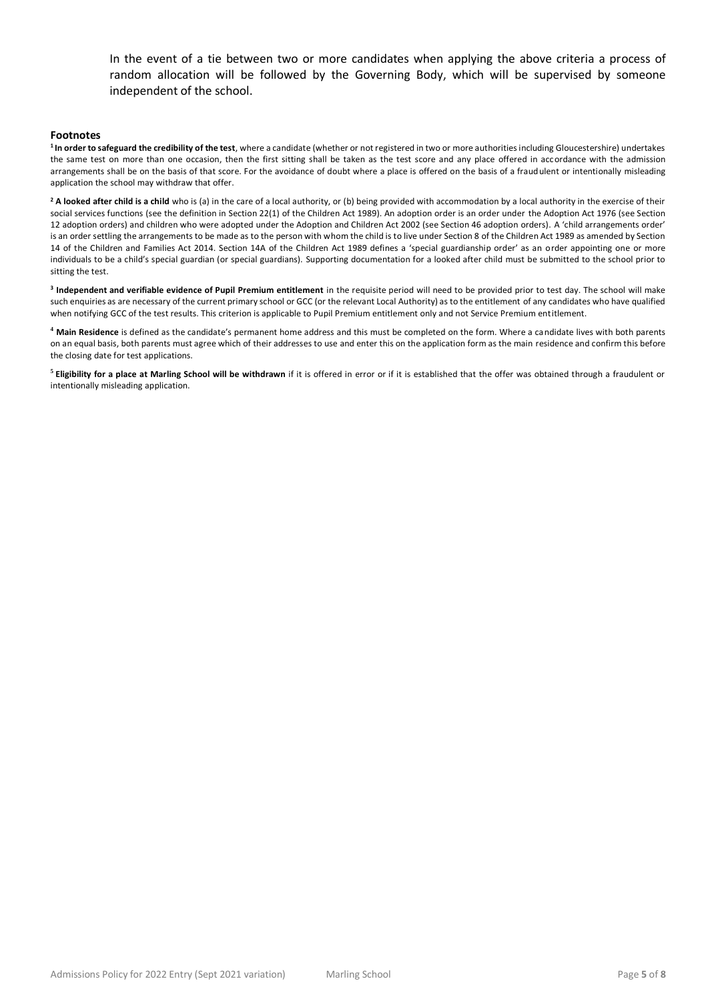In the event of a tie between two or more candidates when applying the above criteria a process of random allocation will be followed by the Governing Body, which will be supervised by someone independent of the school.

#### **Footnotes**

**<sup>1</sup>In order to safeguard the credibility of the test**, where a candidate (whether or not registered in two or more authorities including Gloucestershire) undertakes the same test on more than one occasion, then the first sitting shall be taken as the test score and any place offered in accordance with the admission arrangements shall be on the basis of that score. For the avoidance of doubt where a place is offered on the basis of a fraudulent or intentionally misleading application the school may withdraw that offer.

<sup>2</sup> A looked after child is a child who is (a) in the care of a local authority, or (b) being provided with accommodation by a local authority in the exercise of their social services functions (see the definition in Section 22(1) of the Children Act 1989). An adoption order is an order under the Adoption Act 1976 (see Section 12 adoption orders) and children who were adopted under the Adoption and Children Act 2002 (see Section 46 adoption orders). A 'child arrangements order' is an order settling the arrangements to be made as to the person with whom the child is to live under Section 8 of the Children Act 1989 as amended by Section 14 of the Children and Families Act 2014. Section 14A of the Children Act 1989 defines a 'special guardianship order' as an order appointing one or more individuals to be a child's special guardian (or special guardians). Supporting documentation for a looked after child must be submitted to the school prior to sitting the test.

**3 Independent and verifiable evidence of Pupil Premium entitlement** in the requisite period will need to be provided prior to test day. The school will make such enquiries as are necessary of the current primary school or GCC (or the relevant Local Authority) as to the entitlement of any candidates who have qualified when notifying GCC of the test results. This criterion is applicable to Pupil Premium entitlement only and not Service Premium entitlement.

**<sup>4</sup> Main Residence** is defined as the candidate's permanent home address and this must be completed on the form. Where a candidate lives with both parents on an equal basis, both parents must agree which of their addresses to use and enter this on the application form as the main residence and confirm this before the closing date for test applications.

**5 Eligibility for a place at Marling School will be withdrawn** if it is offered in error or if it is established that the offer was obtained through a fraudulent or intentionally misleading application.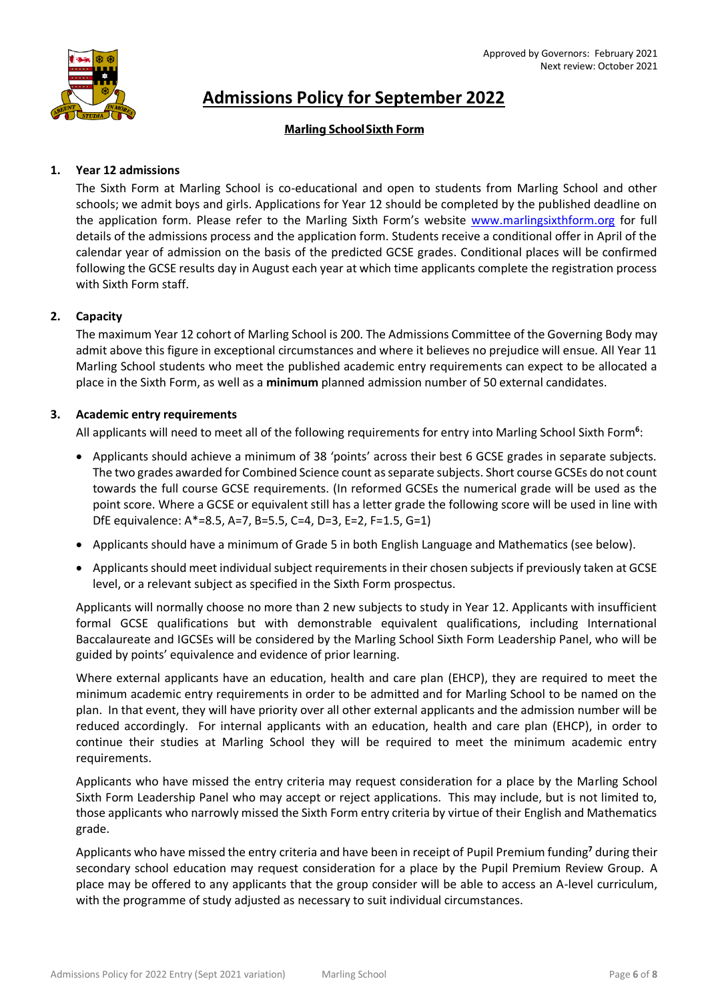

# **Admissions Policy for September 2022**

# **Marling School Sixth Form**

## **1. Year 12 admissions**

The Sixth Form at Marling School is co-educational and open to students from Marling School and other schools; we admit boys and girls. Applications for Year 12 should be completed by the published deadline on the application form. Please refer to the Marling Sixth Form's website [www.marlingsixthform.org](http://www.marlingsixthform.org/) for full details of the admissions process and the application form. Students receive a conditional offer in April of the calendar year of admission on the basis of the predicted GCSE grades. Conditional places will be confirmed following the GCSE results day in August each year at which time applicants complete the registration process with Sixth Form staff.

## **2. Capacity**

The maximum Year 12 cohort of Marling School is 200. The Admissions Committee of the Governing Body may admit above this figure in exceptional circumstances and where it believes no prejudice will ensue. All Year 11 Marling School students who meet the published academic entry requirements can expect to be allocated a place in the Sixth Form, as well as a **minimum** planned admission number of 50 external candidates.

## **3. Academic entry requirements**

All applicants will need to meet all of the following requirements for entry into Marling School Sixth Form**<sup>6</sup>** :

- Applicants should achieve a minimum of 38 'points' across their best 6 GCSE grades in separate subjects. The two grades awarded for Combined Science count as separate subjects. Short course GCSEs do not count towards the full course GCSE requirements. (In reformed GCSEs the numerical grade will be used as the point score. Where a GCSE or equivalent still has a letter grade the following score will be used in line with DfE equivalence: A\*=8.5, A=7, B=5.5, C=4, D=3, E=2, F=1.5, G=1)
- Applicants should have a minimum of Grade 5 in both English Language and Mathematics (see below).
- Applicants should meet individual subject requirements in their chosen subjects if previously taken at GCSE level, or a relevant subject as specified in the Sixth Form prospectus.

Applicants will normally choose no more than 2 new subjects to study in Year 12. Applicants with insufficient formal GCSE qualifications but with demonstrable equivalent qualifications, including International Baccalaureate and IGCSEs will be considered by the Marling School Sixth Form Leadership Panel, who will be guided by points' equivalence and evidence of prior learning.

Where external applicants have an education, health and care plan (EHCP), they are required to meet the minimum academic entry requirements in order to be admitted and for Marling School to be named on the plan. In that event, they will have priority over all other external applicants and the admission number will be reduced accordingly. For internal applicants with an education, health and care plan (EHCP), in order to continue their studies at Marling School they will be required to meet the minimum academic entry requirements.

Applicants who have missed the entry criteria may request consideration for a place by the Marling School Sixth Form Leadership Panel who may accept or reject applications. This may include, but is not limited to, those applicants who narrowly missed the Sixth Form entry criteria by virtue of their English and Mathematics grade.

Applicants who have missed the entry criteria and have been in receipt of Pupil Premium funding**<sup>7</sup>** during their secondary school education may request consideration for a place by the Pupil Premium Review Group. A place may be offered to any applicants that the group consider will be able to access an A-level curriculum, with the programme of study adjusted as necessary to suit individual circumstances.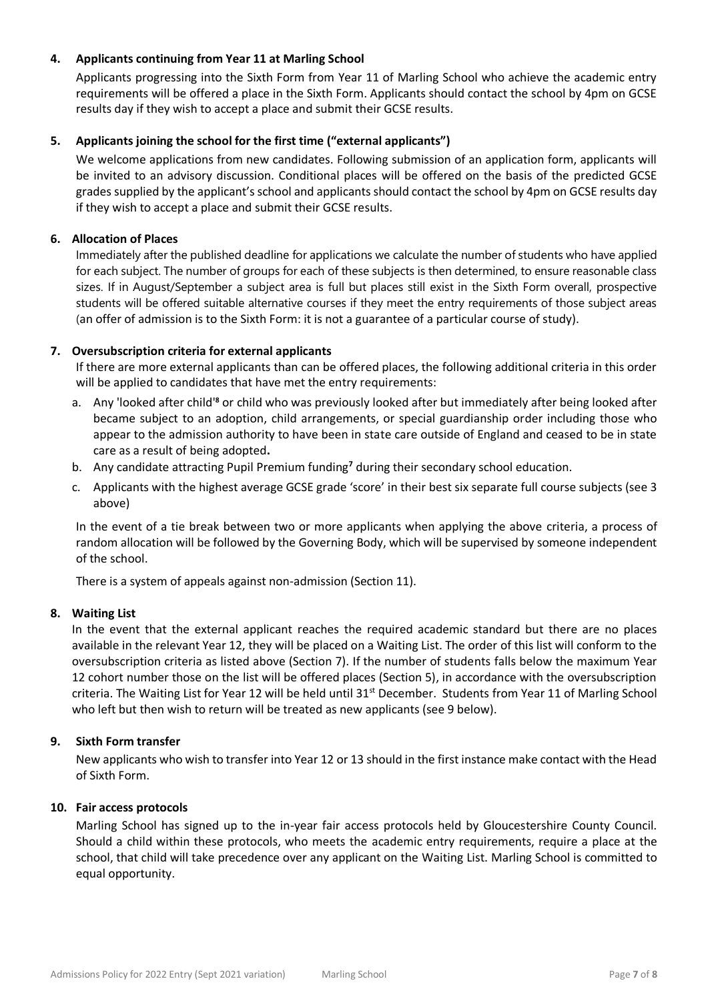## **4. Applicants continuing from Year 11 at Marling School**

Applicants progressing into the Sixth Form from Year 11 of Marling School who achieve the academic entry requirements will be offered a place in the Sixth Form. Applicants should contact the school by 4pm on GCSE results day if they wish to accept a place and submit their GCSE results.

## **5. Applicants joining the school for the first time ("external applicants")**

We welcome applications from new candidates. Following submission of an application form, applicants will be invited to an advisory discussion. Conditional places will be offered on the basis of the predicted GCSE grades supplied by the applicant's school and applicants should contact the school by 4pm on GCSE results day if they wish to accept a place and submit their GCSE results.

## **6. Allocation of Places**

Immediately after the published deadline for applications we calculate the number of students who have applied for each subject. The number of groups for each of these subjects is then determined, to ensure reasonable class sizes. If in August/September a subject area is full but places still exist in the Sixth Form overall, prospective students will be offered suitable alternative courses if they meet the entry requirements of those subject areas (an offer of admission is to the Sixth Form: it is not a guarantee of a particular course of study).

## **7. Oversubscription criteria for external applicants**

If there are more external applicants than can be offered places, the following additional criteria in this order will be applied to candidates that have met the entry requirements:

- a. Any 'looked after child'**<sup>8</sup>** or child who was previously looked after but immediately after being looked after became subject to an adoption, child arrangements, or special guardianship order including those who appear to the admission authority to have been in state care outside of England and ceased to be in state care as a result of being adopted**.**
- b. Any candidate attracting Pupil Premium funding**<sup>7</sup>** during their secondary school education.
- c. Applicants with the highest average GCSE grade 'score' in their best six separate full course subjects (see 3 above)

In the event of a tie break between two or more applicants when applying the above criteria, a process of random allocation will be followed by the Governing Body, which will be supervised by someone independent of the school.

There is a system of appeals against non-admission (Section 11).

## **8. Waiting List**

In the event that the external applicant reaches the required academic standard but there are no places available in the relevant Year 12, they will be placed on a Waiting List. The order of this list will conform to the oversubscription criteria as listed above (Section 7). If the number of students falls below the maximum Year 12 cohort number those on the list will be offered places (Section 5), in accordance with the oversubscription criteria. The Waiting List for Year 12 will be held until 31<sup>st</sup> December. Students from Year 11 of Marling School who left but then wish to return will be treated as new applicants (see 9 below).

## **9. Sixth Form transfer**

New applicants who wish to transfer into Year 12 or 13 should in the first instance make contact with the Head of Sixth Form.

## **10. Fair access protocols**

Marling School has signed up to the in-year fair access protocols held by Gloucestershire County Council. Should a child within these protocols, who meets the academic entry requirements, require a place at the school, that child will take precedence over any applicant on the Waiting List. Marling School is committed to equal opportunity.